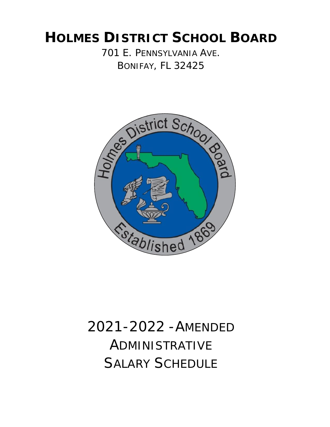## **HOLMES DISTRICT SCHOOL BOARD** 701 E. PENNSYLVANIA AVE. BONIFAY, FL 32425



# 2021-2022 -AMENDED ADMINISTRATIVE SALARY SCHEDULE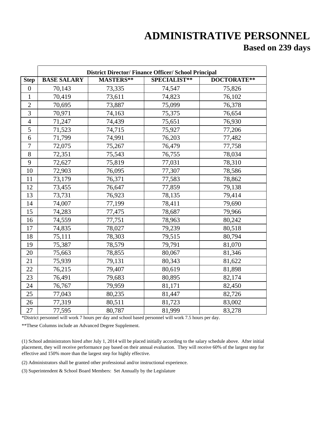### **ADMINISTRATIVE PERSONNEL Based on 239 days**

|                | <b>District Director/Finance Officer/School Principal</b> |           |              |             |  |
|----------------|-----------------------------------------------------------|-----------|--------------|-------------|--|
| <b>Step</b>    | <b>BASE SALARY</b>                                        | MASTERS** | SPECIALIST** | DOCTORATE** |  |
| $\overline{0}$ | 70,143                                                    | 73,335    | 74,547       | 75,826      |  |
| 1              | 70,419                                                    | 73,611    | 74,823       | 76,102      |  |
| $\overline{2}$ | 70,695                                                    | 73,887    | 75,099       | 76,378      |  |
| 3              | 70,971                                                    | 74,163    | 75,375       | 76,654      |  |
| $\overline{4}$ | 71,247                                                    | 74,439    | 75,651       | 76,930      |  |
| 5              | 71,523                                                    | 74,715    | 75,927       | 77,206      |  |
| 6              | 71,799                                                    | 74,991    | 76,203       | 77,482      |  |
| 7              | 72,075                                                    | 75,267    | 76,479       | 77,758      |  |
| 8              | 72,351                                                    | 75,543    | 76,755       | 78,034      |  |
| 9              | 72,627                                                    | 75,819    | 77,031       | 78,310      |  |
| 10             | 72,903                                                    | 76,095    | 77,307       | 78,586      |  |
| 11             | 73,179                                                    | 76,371    | 77,583       | 78,862      |  |
| 12             | 73,455                                                    | 76,647    | 77,859       | 79,138      |  |
| 13             | 73,731                                                    | 76,923    | 78,135       | 79,414      |  |
| 14             | 74,007                                                    | 77,199    | 78,411       | 79,690      |  |
| 15             | 74,283                                                    | 77,475    | 78,687       | 79,966      |  |
| 16             | 74,559                                                    | 77,751    | 78,963       | 80,242      |  |
| 17             | 74,835                                                    | 78,027    | 79,239       | 80,518      |  |
| 18             | 75,111                                                    | 78,303    | 79,515       | 80,794      |  |
| 19             | 75,387                                                    | 78,579    | 79,791       | 81,070      |  |
| 20             | 75,663                                                    | 78,855    | 80,067       | 81,346      |  |
| 21             | 75,939                                                    | 79,131    | 80,343       | 81,622      |  |
| 22             | 76,215                                                    | 79,407    | 80,619       | 81,898      |  |
| 23             | 76,491                                                    | 79,683    | 80,895       | 82,174      |  |
| 24             | 76,767                                                    | 79,959    | 81,171       | 82,450      |  |
| 25             | 77,043                                                    | 80,235    | 81,447       | 82,726      |  |
| 26             | 77,319                                                    | 80,511    | 81,723       | 83,002      |  |
| 27             | 77,595                                                    | 80,787    | 81,999       | 83,278      |  |

\*District personnel will work 7 hours per day and school based personnel will work 7.5 hours per day.

\*\*These Columns include an Advanced Degree Supplement.

(1) School administrators hired after July 1, 2014 will be placed initially according to the salary schedule above. After initial placement, they will receive performance pay based on their annual evaluation. They will receive 60% of the largest step for effective and 150% more than the largest step for highly effective.

(2) Administrators shall be granted other professional and/or instructional experience.

(3) Superintendent & School Board Members: Set Annually by the Legislature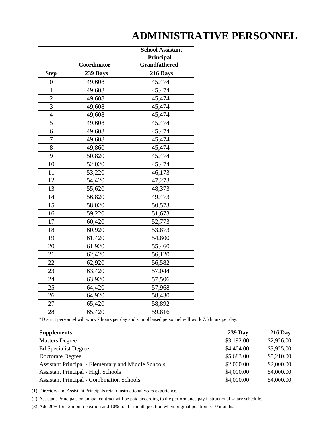### **ADMINISTRATIVE PERSONNEL**

|                  |               | <b>School Assistant</b> |
|------------------|---------------|-------------------------|
|                  |               | <b>Principal -</b>      |
|                  | Coordinator - | Grandfathered -         |
| <b>Step</b>      | 239 Days      | 216 Days                |
| $\boldsymbol{0}$ | 49,608        | 45,474                  |
| $\mathbf{1}$     | 49,608        | 45,474                  |
| $\overline{2}$   | 49,608        | 45,474                  |
| 3                | 49,608        | 45,474                  |
| $\overline{4}$   | 49,608        | 45,474                  |
| $\overline{5}$   | 49,608        | 45,474                  |
| 6                | 49,608        | 45,474                  |
| $\overline{7}$   | 49,608        | 45,474                  |
| 8                | 49,860        | 45,474                  |
| 9                | 50,820        | 45,474                  |
| 10               | 52,020        | 45,474                  |
| 11               | 53,220        | 46,173                  |
| 12               | 54,420        | 47,273                  |
| 13               | 55,620        | 48,373                  |
| 14               | 56,820        | 49,473                  |
| 15               | 58,020        | 50,573                  |
| 16               | 59,220        | 51,673                  |
| 17               | 60,420        | 52,773                  |
| 18               | 60,920        | 53,873                  |
| 19               | 61,420        | 54,800                  |
| 20               | 61,920        | 55,460                  |
| 21               | 62,420        | 56,120                  |
| 22               | 62,920        | 56,582                  |
| 23               | 63,420        | 57,044                  |
| 24               | 63,920        | 57,506                  |
| 25               | 64,420        | 57,968                  |
| 26               | 64,920        | 58,430                  |
| 27               | 65,420        | 58,892                  |
| 28               | 65,420        | 59,816                  |

\*District personnel will work 7 hours per day and school based personnel will work 7.5 hours per day.

| <b>Supplements:</b>                                 | $239$ Day  | $216$ Day  |
|-----------------------------------------------------|------------|------------|
| <b>Masters Degree</b>                               | \$3,192.00 | \$2,926.00 |
| Ed Specialist Degree                                | \$4,404.00 | \$3,925.00 |
| Doctorate Degree                                    | \$5,683.00 | \$5,210.00 |
| Assistant Principal - Elementary and Middle Schools | \$2,000.00 | \$2,000.00 |
| <b>Assistant Principal - High Schools</b>           | \$4,000.00 | \$4,000.00 |
| <b>Assistant Principal - Combination Schools</b>    | \$4,000.00 | \$4,000.00 |

(1) Directors and Assistant Principals retain instructional years experience.

(2) Assistant Principals on annual contract will be paid according to the performance pay instructional salary schedule.

(3) Add 20% for 12 month position and 10% for 11 month position when original position is 10 months.